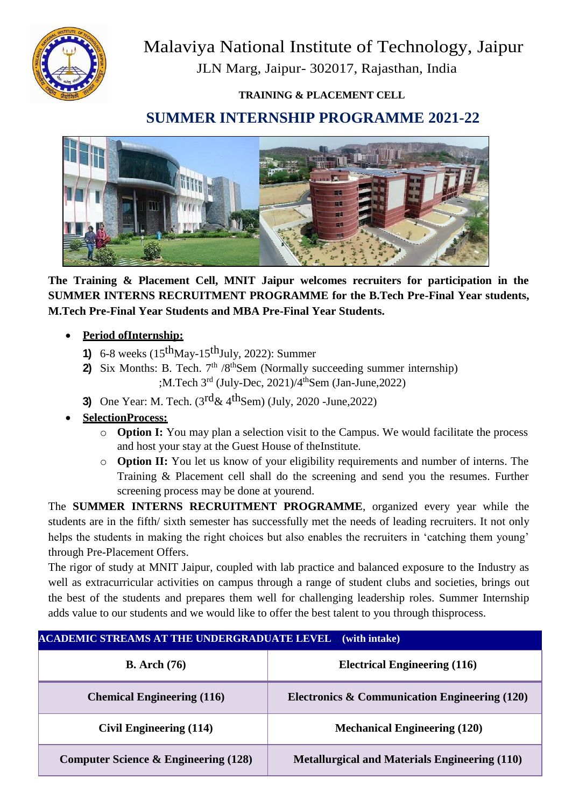

# Malaviya National Institute of Technology, Jaipur JLN Marg, Jaipur- 302017, Rajasthan, India

### **TRAINING & PLACEMENT CELL**

## **SUMMER INTERNSHIP PROGRAMME 2021-22**



**The Training & Placement Cell, MNIT Jaipur welcomes recruiters for participation in the SUMMER INTERNS RECRUITMENT PROGRAMME for the B.Tech Pre-Final Year students, M.Tech Pre-Final Year Students and MBA Pre-Final Year Students.**

### **Period ofInternship:**

- **1)** 6-8 weeks  $(15^{th}$ May-15<sup>th</sup>July, 2022): Summer
- **2)** Six Months: B. Tech.  $7<sup>th</sup> / 8<sup>th</sup>$ Sem (Normally succeeding summer internship) ;M.Tech  $3<sup>rd</sup>$  (July-Dec, 2021)/4<sup>th</sup>Sem (Jan-June, 2022)
- **3)** One Year: M. Tech.  $(3^{rd}\&4^{th}Sem)$  (July, 2020 -June, 2022)
- **SelectionProcess:**
	- o **Option I:** You may plan a selection visit to the Campus. We would facilitate the process and host your stay at the Guest House of theInstitute.
	- o **Option II:** You let us know of your eligibility requirements and number of interns. The Training & Placement cell shall do the screening and send you the resumes. Further screening process may be done at yourend.

The **SUMMER INTERNS RECRUITMENT PROGRAMME**, organized every year while the students are in the fifth/ sixth semester has successfully met the needs of leading recruiters. It not only helps the students in making the right choices but also enables the recruiters in 'catching them young' through Pre-Placement Offers.

The rigor of study at MNIT Jaipur, coupled with lab practice and balanced exposure to the Industry as well as extracurricular activities on campus through a range of student clubs and societies, brings out the best of the students and prepares them well for challenging leadership roles. Summer Internship adds value to our students and we would like to offer the best talent to you through thisprocess.

#### **ACADEMIC STREAMS AT THE UNDERGRADUATE LEVEL... (with intake).**

| <b>B.</b> Arch $(76)$                   | <b>Electrical Engineering (116)</b>                      |  |
|-----------------------------------------|----------------------------------------------------------|--|
| <b>Chemical Engineering (116)</b>       | <b>Electronics &amp; Communication Engineering (120)</b> |  |
| Civil Engineering (114)                 | <b>Mechanical Engineering (120)</b>                      |  |
| Computer Science $\&$ Engineering (128) | <b>Metallurgical and Materials Engineering (110)</b>     |  |